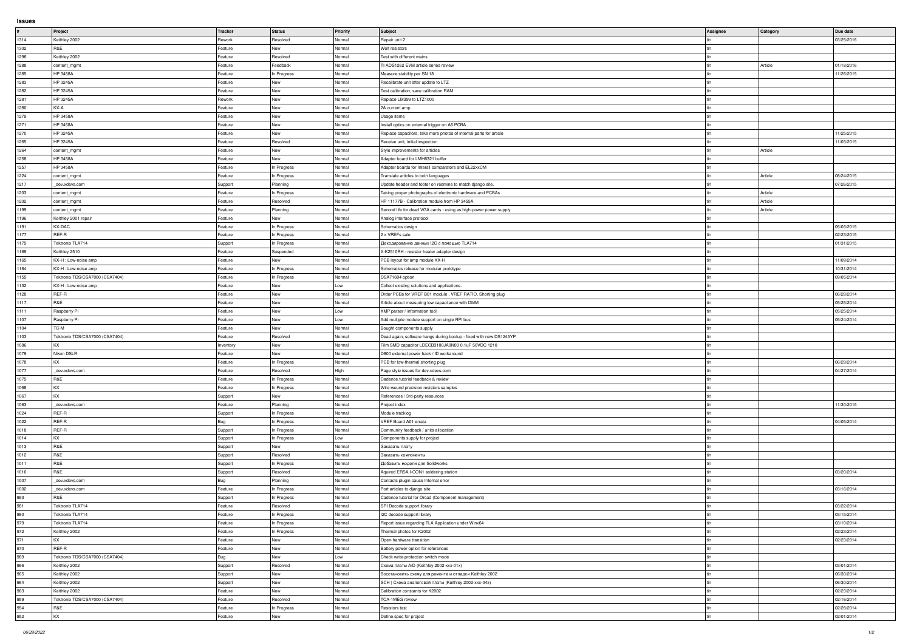## **Issues**

| #                                                                                            | <b>Project</b>                  | <b>Tracker</b> | <b>Status</b>      | <b>Priority</b> | Subject                                                            | <b>Assignee</b> | Category | Due date   |
|----------------------------------------------------------------------------------------------|---------------------------------|----------------|--------------------|-----------------|--------------------------------------------------------------------|-----------------|----------|------------|
| 1314                                                                                         | Keithley 2002                   | Rework         | Resolved           | Normal          | Repair unit 2                                                      |                 |          | 03/25/2016 |
|                                                                                              |                                 |                |                    |                 |                                                                    |                 |          |            |
| 1302                                                                                         | R&E                             | Feature        | New                | Normal          | <b>Wolf resistors</b>                                              |                 |          |            |
| 1296                                                                                         | Keithley 2002                   | Feature        | Resolved           | Normal          | Test with different mains                                          |                 |          |            |
| 1288                                                                                         |                                 | Feature        | Feedback           | Normal          | TI ADS1262 EVM article series review                               |                 | Article  | 01/18/2016 |
|                                                                                              | content_mgmt                    |                |                    |                 |                                                                    |                 |          |            |
| 1285                                                                                         | <b>HP 3458A</b>                 | Feature        | In Progress        | Normal          | Measure stability per SN 18                                        |                 |          | 11/26/2015 |
| 1283                                                                                         | HP 3245A                        | Feature        | New                | Normal          | Recalibrate unit after update to LTZ                               |                 |          |            |
|                                                                                              |                                 |                |                    |                 |                                                                    |                 |          |            |
| 1282                                                                                         | HP 3245A                        | Feature        | New                | Normal          | Test calibration, save calibration RAM                             |                 |          |            |
| 1281                                                                                         | HP 3245A                        | Rework         | New                | Normal          | Replace LM399 to LTZ1000                                           |                 |          |            |
| 1280                                                                                         | KX-A                            | Feature        | New                | Normal          | 2A current amp                                                     |                 |          |            |
|                                                                                              |                                 |                |                    |                 |                                                                    |                 |          |            |
| 1279                                                                                         | HP 3458A                        | Feature        | New                | Normal          | Usage items                                                        |                 |          |            |
| 1271                                                                                         | HP 3458A                        | Feature        | New                | Normal          | Install optics on external trigger on A6 PCBA                      |                 |          |            |
| 1270                                                                                         | HP 3245A                        | Feature        | New                | Normal          | Replace capacitors, take more photos of internal parts for article |                 |          | 11/25/2015 |
|                                                                                              |                                 |                |                    |                 |                                                                    |                 |          |            |
| 1265                                                                                         | HP 3245A                        | Feature        | Resolved           | Normal          | Receive unit, initial inspection                                   |                 |          | 11/03/2015 |
| 1264                                                                                         | content_mgmt                    | Feature        | New                | Normal          | Style improvements for articles                                    |                 | Article  |            |
| 1258                                                                                         | <b>HP 3458A</b>                 | Feature        | New                | Normal          | Adapter board for LMH6321 buffer                                   |                 |          |            |
|                                                                                              |                                 |                |                    |                 |                                                                    |                 |          |            |
| 1257                                                                                         | <b>HP 3458A</b>                 | Feature        | In Progress        | Normal          | Adapter boards for Intersil comparators and EL22xxCM               |                 |          |            |
| 1224                                                                                         | content_mgmt                    | Feature        | In Progress        | Normal          | Translate articles to both languages                               |                 | Article  | 08/24/2015 |
|                                                                                              |                                 |                |                    |                 |                                                                    |                 |          | 07/26/2015 |
| 1217                                                                                         | _dev.xdevs.com                  | Support        | Planning           | Normal          | Update header and footer on redmine to match django site.          |                 |          |            |
| 1203                                                                                         | content_mgmt                    | Feature        | In Progress        | Normal          | Taking proper photographs of electronic hardware and PCBAs         |                 | Article  |            |
| 1202                                                                                         | content_mgmt                    | Feature        | Resolved           | Normal          | HP 11177B - Calibration module from HP 3455A                       |                 | Article  |            |
|                                                                                              |                                 |                |                    |                 |                                                                    |                 |          |            |
| 1199                                                                                         | content_mgmt                    | Feature        | Planning           | Normal          | Second life for dead VGA cards - using as high-power power supply  |                 | Article  |            |
| 1196                                                                                         | Keithley 2001 repair            | Feature        | New                | Normal          | Analog interface protocol                                          |                 |          |            |
| 1191                                                                                         | KX-DAC                          | Feature        | In Progress        | Normal          | Schematics design                                                  |                 |          | 05/03/2015 |
|                                                                                              |                                 |                |                    |                 |                                                                    |                 |          |            |
| 1177                                                                                         | REF-R                           | Feature        | In Progress        | Normal          | 2 x VREFs sale                                                     |                 |          | 02/23/2015 |
| 1175                                                                                         | Tektronix TLA714                | Support        | In Progress        | Normal          | Декодирование данных I2C с помощью TLA714                          |                 |          | 01/31/2015 |
| 1169                                                                                         | Keithley 2510                   | Feature        | Suspended          | Normal          | X-K2510RH - resistor heater adapter design                         |                 |          |            |
|                                                                                              |                                 |                |                    |                 |                                                                    |                 |          |            |
| 1165                                                                                         | KX-H : Low-noise amp            | Feature        | Jew                | Normal          | PCB layout for amp module KX-H                                     |                 |          | 11/09/2014 |
| 1164                                                                                         | KX-H : Low-noise amp            | Feature        | In Progress        | Normal          | Schematics release for modular prototype                           |                 |          | 10/31/2014 |
|                                                                                              | Tektronix TDS/CSA7000 (CSA7404) |                |                    |                 | DSA71604 option                                                    |                 |          |            |
| 1155                                                                                         |                                 | Feature        | In Progress        | Normal          |                                                                    |                 |          | 09/05/2014 |
| 1132                                                                                         | KX-H : Low-noise amp            | Feature        | New                | Low             | Collect existing solutions and applications.                       |                 |          |            |
| 1128                                                                                         | REF-R                           | Feature        | New                | Normal          | Order PCBs for VREF B01 module, VREF RATIO, Shorting plug          |                 |          | 06/28/2014 |
|                                                                                              |                                 |                |                    |                 |                                                                    |                 |          |            |
| 1117                                                                                         | R&E                             | Feature        | New                | Normal          | Article about measuring low capacitance with DMM                   |                 |          | 05/25/2014 |
| 1111                                                                                         | Raspberry Pi                    | Feature        | New                | Low             | XMP parser / information tool                                      |                 |          | 05/25/2014 |
| 1107                                                                                         | Raspberry Pi                    | Feature        | New                | Low             | Add multiple module support on single RPI bus                      |                 |          | 05/24/2014 |
|                                                                                              |                                 |                |                    |                 |                                                                    |                 |          |            |
| 1104                                                                                         | TC-M                            | Feature        | New                | Normal          | Bought components supply                                           |                 |          |            |
|                                                                                              |                                 |                |                    |                 |                                                                    |                 |          |            |
|                                                                                              | Tektronix TDS/CSA7000 (CSA7404) | Feature        | Resolved           | Normal          | Dead again, software hangs during bootup - fixed with new DS1245YP |                 |          |            |
|                                                                                              |                                 |                |                    |                 |                                                                    |                 |          |            |
|                                                                                              | ΚX                              | Inventory      | New                | Normal          | Film SMD capacitor LDECB3100JA0N00 0.1uF 50VDC 1210                |                 |          |            |
|                                                                                              | Nikon DSLR                      | Feature        | New                | Normal          | D800 external power hack / ID workaround                           |                 |          |            |
|                                                                                              |                                 | Feature        |                    | Normal          |                                                                    |                 |          | 06/29/2014 |
|                                                                                              |                                 |                | In Progress        |                 | PCB for low-thermal shorting plug                                  |                 |          |            |
|                                                                                              | _dev.xdevs.com                  | Feature        | Resolved           | High            | Page style issues for dev.xdevs.com                                |                 |          | 04/27/2014 |
|                                                                                              | R&E                             | Feature        | In Progress        | Normal          | Cadence tutorial feedback & review                                 |                 |          |            |
| 1103<br>1086<br>1079<br>1078<br>1077<br>1075                                                 | KX.                             |                |                    |                 |                                                                    |                 |          |            |
|                                                                                              |                                 | Feature        | In Progress        | Normal          | Wire-wound precision resistors samples                             |                 |          |            |
|                                                                                              | KX.                             | Support        | New                | Normal          | References / 3rd-party resources                                   |                 |          |            |
|                                                                                              | dev.xdevs.com                   | Feature        | Planning           | Normal          | Project index                                                      |                 |          | 11/30/2015 |
|                                                                                              | REF-R                           |                |                    | Normal          |                                                                    |                 |          |            |
|                                                                                              |                                 | Support        | In Progress        |                 | Module tracklog                                                    |                 |          |            |
|                                                                                              | REF-R                           | Bug            | In Progress        | Normal          | VREF Board A01 errata                                              |                 |          | 04/05/2014 |
|                                                                                              | REF-R                           | Support        | In Progress        | Normal          | Community feedback / units allocation                              |                 |          |            |
|                                                                                              | KX                              |                |                    | Low             |                                                                    |                 |          |            |
|                                                                                              |                                 | Support        | In Progress        |                 | Components supply for project                                      |                 |          |            |
|                                                                                              | R&E                             | Support        | New                | Normal          | Заказать плату                                                     |                 |          |            |
|                                                                                              | R&E                             | Support        | Resolved           | Normal          | Заказать компоненты                                                |                 |          |            |
|                                                                                              |                                 |                |                    |                 | Добавить модели для Solidworks                                     |                 |          |            |
|                                                                                              | R&E                             | Support        | In Progress        | Normal          |                                                                    |                 |          |            |
|                                                                                              | R&E                             | Support        | Resolved           | Normal          | Aquired ERSA I-CON1 soldering station                              |                 |          | 03/20/2014 |
| 1068<br>1067<br>1063<br>1024<br>1022<br>1018<br>1014<br>1013<br>1012<br>1011<br>1010<br>1007 | dev.xdevs.com                   | <b>Bug</b>     | Planning           | Normal          | Contacts plugin cause Internal error                               |                 |          |            |
|                                                                                              |                                 |                |                    |                 |                                                                    |                 |          |            |
| 1002                                                                                         | dev.xdevs.com                   | Feature        | In Progress        | Normal          | Port articles to django site                                       |                 |          | 03/16/2014 |
|                                                                                              | R&E                             | Support        | In Progress        | Normal          | Cadence tutorial for Orcad (Component management)                  |                 |          |            |
| 993<br>981                                                                                   | Tektronix TLA714                | Feature        | Resolved           | Normal          | SPI Decode support library                                         |                 |          | 03/22/2014 |
|                                                                                              | Tektronix TLA714                | Feature        |                    | Normal          |                                                                    |                 |          | 03/15/2014 |
|                                                                                              |                                 |                | In Progress        |                 | 12C decode support library                                         |                 |          |            |
|                                                                                              | Tektronix TLA714                | Feature        | In Progress        | Normal          | Report issue regarding TLA Application under Winx64                |                 |          | 03/10/2014 |
|                                                                                              | Keithley 2002                   | Feature        | In Progress        | Normal          | Thermal photos for K2002                                           |                 |          | 02/23/2014 |
|                                                                                              | KX                              |                |                    |                 |                                                                    |                 |          |            |
|                                                                                              |                                 | Feature        | New                | Normal          | Open-hardware transition                                           |                 |          | 02/23/2014 |
|                                                                                              | REF-R                           | Feature        | New                | Normal          | Battery power option for references                                |                 |          |            |
|                                                                                              | Tektronix TDS/CSA7000 (CSA7404) | <b>Bug</b>     | New                | Low             | Check write-protection switch mode                                 |                 |          |            |
|                                                                                              |                                 |                |                    |                 |                                                                    |                 |          |            |
|                                                                                              | Keithley 2002                   | Support        | Resolved           | Normal          | Схема платы A/D (Keithley 2002-xxx-01x)                            |                 |          | 03/01/2014 |
|                                                                                              | Keithley 2002                   | Support        | New                | Normal          | Восстановить схему для ремонта и отладки Keithley 2002             |                 |          | 06/30/2014 |
|                                                                                              | Keithley 2002                   | Support        | New                | Normal          | SCH   Схема аналоговой платы (Keithley 2002-xxx-04x)               |                 |          | 06/30/2014 |
|                                                                                              |                                 |                |                    |                 |                                                                    |                 |          |            |
|                                                                                              | Keithley 2002                   | Feature        | <b>New</b>         | Normal          | Calibration constants for K2002                                    |                 |          | 02/23/2014 |
|                                                                                              | Tektronix TDS/CSA7000 (CSA7404) | Feature        | Resolved           | Normal          | TCA-1MEG review                                                    |                 |          | 02/16/2014 |
|                                                                                              | R&E                             | Feature        |                    | Normal          | Resistors test                                                     |                 |          | 02/28/2014 |
| 980<br>979<br>972<br>971<br>970<br>969<br>966<br>965<br>964<br>963<br>959<br>954<br>952      | KX                              | Feature        | In Progress<br>New | Normal          | Define spec for project                                            | l tin           |          | 02/01/2014 |